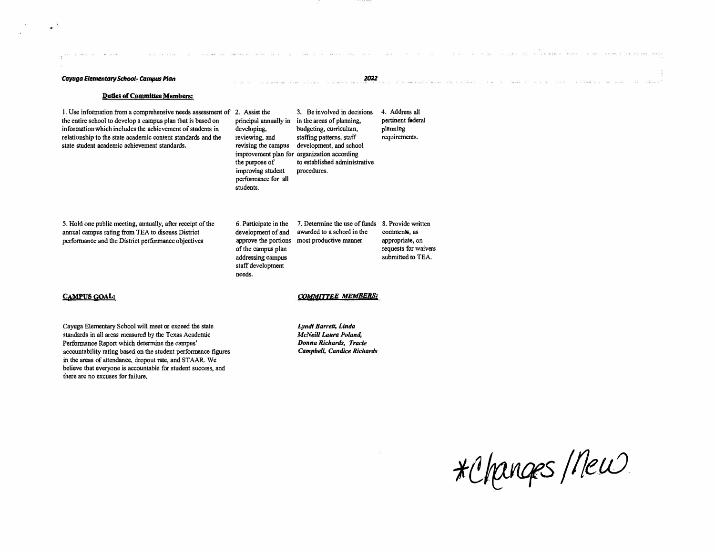#### *Cayuga Elementary School� campus Plan*

(a state of a secondary

 $\epsilon$  .

#### **Duties of Committee Members:**

**1. Use information from a comprehensive needs assessment of the entire school to develop a campus plan that is based on information which includes the achievement of students in relationship to the state academic content standards and the state student academic achievement standards.** 

**2. Assist the 3, Be involved in decisions 4. Address all principal annually in in the areas of planning, developing, budgeting, curriculum, reviewing, and staffing patterns, staff revising the campus development, and school improvement plan for organization according the purpose of to established administrative improving student procedures. performance for all students. pertinent federal planning requirements.** 

**5. Hold one public meeting, annually, after receipt of the annual campus rating from TEA to discuss District performance and the District performance objectives**

**6. Participate in the development of and approve the portions most productive manner of the campus plan addressing campus staff development needs. 7. Determine the use of funds 8. Provide written awarded to a school in the** 

**comments, as appropriate, on requests for waivers submitted to TEA.** 

на аналога правод однартовата до насто для започно на постоят с в през советом объекностной состоянальных необх

*2022* 

## **CAMPUS GOAL:**

## *COMMITTEE MEMBERS:*

**Cayuga Elementary School will meet or exceed the state standards in all areas measured by the Texas Academic Performance Report which determine the campus' accountability rating based on the student perfonnance figures in the areas of attendance, dropout rate, and STAAR We believe that everyone is accountable for student success, and there are no excuses for failure.** 

*Lyndi Barrett, Linda McNeiU Laura Poland, Donna Richards, Tracie Campbell, Candice Richards* 

*1(!/EJUfS* / *f/e\_fLJ*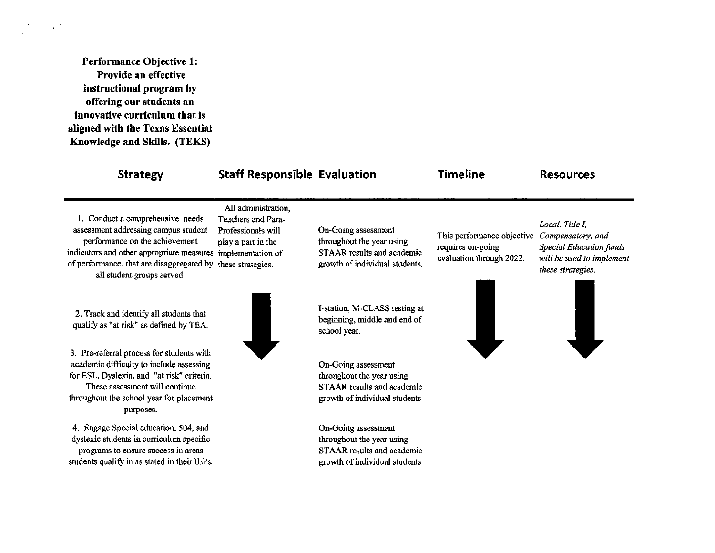**Performance Objective 1:** Provide an effective instructional program by offering our students an innovative curriculum that is aligned with the Texas Essential Knowledge and Skills. (TEKS)

 $\sim$   $^{\prime}$ 

| <b>Strategy</b>                                                                                                                                                                                                                                      | <b>Staff Responsible Evaluation</b>                                                                        |                                                                                                                  | <b>Timeline</b>                                                             | <b>Resources</b>                                                                                                         |
|------------------------------------------------------------------------------------------------------------------------------------------------------------------------------------------------------------------------------------------------------|------------------------------------------------------------------------------------------------------------|------------------------------------------------------------------------------------------------------------------|-----------------------------------------------------------------------------|--------------------------------------------------------------------------------------------------------------------------|
| 1. Conduct a comprehensive needs<br>assessment addressing campus student<br>performance on the achievement<br>indicators and other appropriate measures implementation of<br>of performance, that are disaggregated by<br>all student groups served. | All administration,<br>Teachers and Para-<br>Professionals will<br>play a part in the<br>these strategies. | On-Going assessment<br>throughout the year using<br>STAAR results and academic<br>growth of individual students. | This performance objective<br>requires on-going<br>evaluation through 2022. | Local, Title I,<br>Compensatory, and<br><b>Special Education funds</b><br>will be used to implement<br>these strategies. |
| 2. Track and identify all students that<br>qualify as "at risk" as defined by TEA.                                                                                                                                                                   |                                                                                                            | I-station, M-CLASS testing at<br>beginning, middle and end of<br>school year.                                    |                                                                             |                                                                                                                          |
| 3. Pre-referral process for students with<br>academic difficulty to include assessing<br>for ESL, Dyslexia, and "at risk" criteria.<br>These assessment will continue<br>throughout the school year for placement<br>purposes.                       |                                                                                                            | On-Going assessment<br>throughout the year using<br>STAAR results and academic<br>growth of individual students  |                                                                             |                                                                                                                          |
| 4. Engage Special education, 504, and<br>dyslexic students in curriculum specific                                                                                                                                                                    |                                                                                                            | On-Going assessment<br>throughout the year using                                                                 |                                                                             |                                                                                                                          |

STAAR results and academic

growth of individual students

programs to ensure success in areas students qualify in as stated in their IEPs.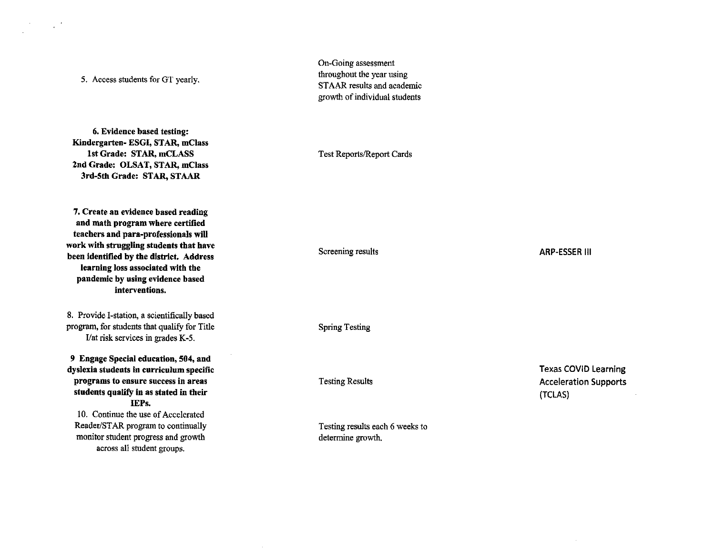5. Access students for GT yearly.

 $\mathcal{L}^{(2)}$ 

6. Evidence based testing: Kindergarten- ESGI, STAR, mClass 1st Grade: STAR, mCLASS 2nd Grade: OLSAT, STAR, mClass 3rd-5th Grade: STAR, STAAR

7. Create an evidence based reading and math program where certified teachers and para-professionals will work with struggling students that have been identified by the district. Address learning loss associated with the pandemic by using evidence based interventions.

8. Provide I-station, a scientifically based program, for students that qualify for Title I/at risk services in grades K-5.

9 Engage Special education, 504, and dyslexia students in curriculum specific programs to ensure success in areas students qualify in as stated in their IEPs.

10. Continue the use of Accelerated Reader/STAR program to continually monitor student progress and growth across all student groups.

On-Going assessment throughout the year using STAAR results and academic growth of individual students

Test Reports/Report Cards

Screening results

**ARP-ESSER III** 

**Spring Testing** 

**Testing Results** 

Testing results each 6 weeks to determine growth.

**Texas COVID Learning Acceleration Supports** (TCLAS)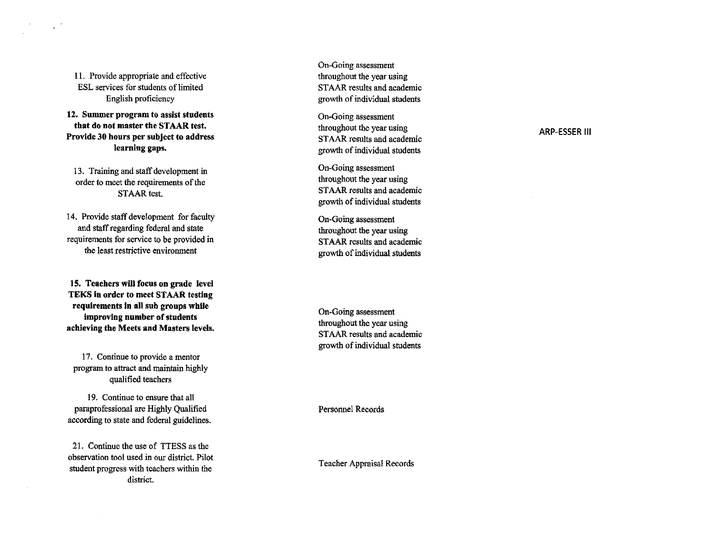11. Provide appropriate and effective ESL services for students of limited English proficiency

12. Summer program to assist students that do not master the STAAR test. Provide 30 hours per subject to address learning gaps.

13. Training and staff development in order to meet the requirements of the **STAAR** test.

14. Provide staff development for faculty and staff regarding federal and state requirements for service to be provided in the least restrictive environment

15. Teachers will focus on grade level TEKS in order to meet STAAR testing requirements in all sub groups while improving number of students achieving the Meets and Masters levels.

17. Continue to provide a mentor program to attract and maintain highly qualified teachers

19. Continue to ensure that all paraprofessional are Highly Qualified according to state and federal guidelines.

21. Continue the use of TTESS as the observation tool used in our district. Pilot student progress with teachers within the district.

On-Going assessment throughout the year using STAAR results and academic growth of individual students

On-Going assessment throughout the year using STAAR results and academic growth of individual students

On-Going assessment throughout the year using STAAR results and academic growth of individual students

On-Going assessment throughout the year using STAAR results and academic growth of individual students

On-Going assessment throughout the year using STAAR results and academic growth of individual students

**Personnel Records** 

Teacher Appraisal Records

## **ARP-ESSER III**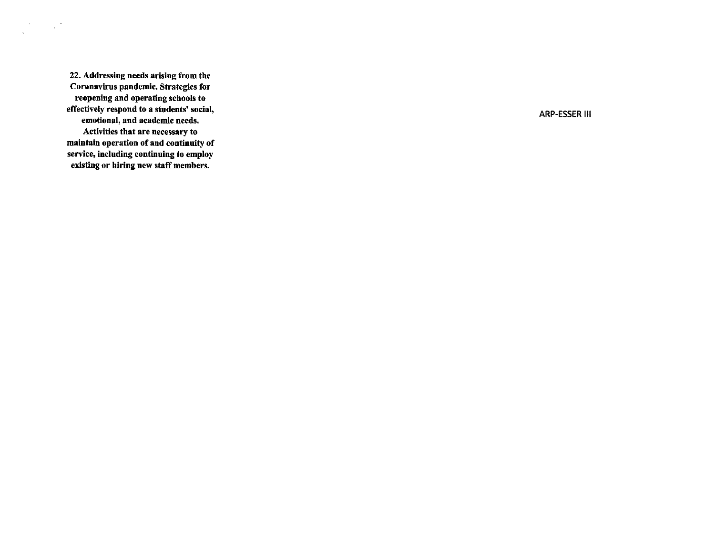22. Addressing needs arising from the Coronavirus pandemic. Strategies for reopening and operating schools to effectively respond to a students' social, emotional, and academic needs. Activities that are necessary to maintain operation of and continuity of service, including continuing to employ existing or hiring new staff members.

 $\frac{1}{\sqrt{2}}\left(\frac{1}{\sqrt{2}}\right)^{2}=\frac{1}{2}\left(\frac{1}{\sqrt{2}}\right)^{2}$ 

**ARP-ESSER III**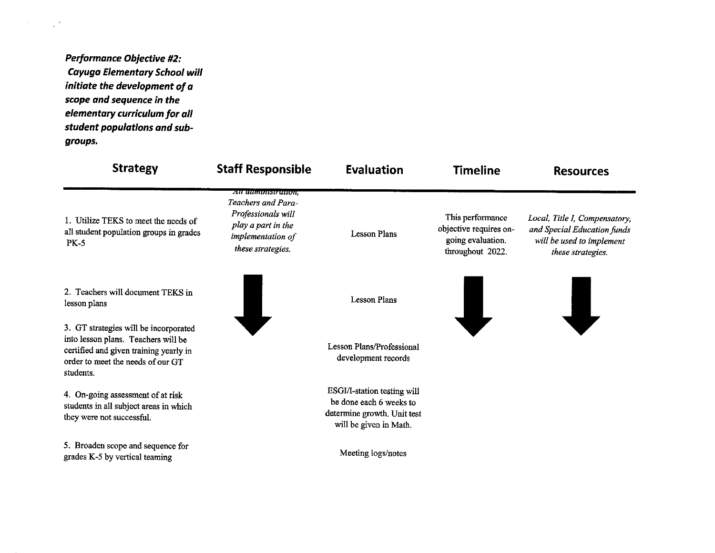**Performance Objective #2: Cayuga Elementary School will** initiate the development of a scope and sequence in the elementary curriculum for all student populations and subgroups.

 $\frac{d}{dt} \frac{d\phi}{dt} = \frac{1}{2} \frac{d\phi}{dt} \frac{d\phi}{dt} \, .$ 

| <b>Strategy</b>                                                                                                                                                          | <b>Staff Responsible</b>                                                                                                     | <b>Evaluation</b>                                                                                               | <b>Timeline</b>                                                                     | <b>Resources</b>                                                                                               |
|--------------------------------------------------------------------------------------------------------------------------------------------------------------------------|------------------------------------------------------------------------------------------------------------------------------|-----------------------------------------------------------------------------------------------------------------|-------------------------------------------------------------------------------------|----------------------------------------------------------------------------------------------------------------|
| 1. Utilize TEKS to meet the needs of<br>all student population groups in grades<br><b>PK-5</b>                                                                           | ли антинистатоп,<br>Teachers and Para-<br>Professionals will<br>play a part in the<br>implementation of<br>these strategies. | <b>Lesson Plans</b>                                                                                             | This performance<br>objective requires on-<br>going evaluation.<br>throughout 2022. | Local, Title I, Compensatory,<br>and Special Education funds<br>will be used to implement<br>these strategies. |
| 2. Teachers will document TEKS in<br>lesson plans                                                                                                                        |                                                                                                                              | <b>Lesson Plans</b>                                                                                             |                                                                                     |                                                                                                                |
| 3. GT strategies will be incorporated<br>into lesson plans. Teachers will be<br>certified and given training yearly in<br>order to meet the needs of our GT<br>students. |                                                                                                                              | Lesson Plans/Professional<br>development records                                                                |                                                                                     |                                                                                                                |
| 4. On-going assessment of at risk<br>students in all subject areas in which<br>they were not successful.                                                                 |                                                                                                                              | ESGI/I-station testing will<br>be done each 6 weeks to<br>determine growth. Unit test<br>will be given in Math. |                                                                                     |                                                                                                                |
| 5. Broaden scope and sequence for<br>grades K-5 by vertical teaming                                                                                                      |                                                                                                                              | Meeting logs/notes                                                                                              |                                                                                     |                                                                                                                |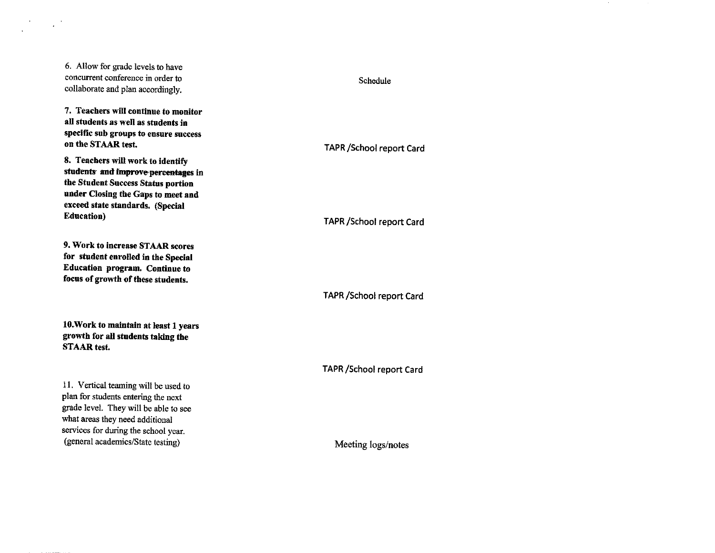6. Allow for grade levels to have concurrent conference in order to collaborate and plan accordingly.

 $\sim 10^6$ 

7. Teachers will continue to monitor all students as well as students in specific sub groups to ensure success on the STAAR test.

8. Teachers will work to identify students and improve percentages in the Student Success Status portion under Closing the Gaps to meet and exceed state standards. (Special **Education**)

9. Work to increase STAAR scores for student enrolled in the Special Education program. Continue to focus of growth of these students.

10. Work to maintain at least 1 years growth for all students taking the **STAAR** test.

11. Vertical teaming will be used to plan for students entering the next grade level. They will be able to see what areas they need additional services for during the school year. (general academics/State testing)

# Schedule

**TAPR /School report Card** 

**TAPR / School report Card** 

**TAPR / School report Card** 

**TAPR / School report Card** 

Meeting logs/notes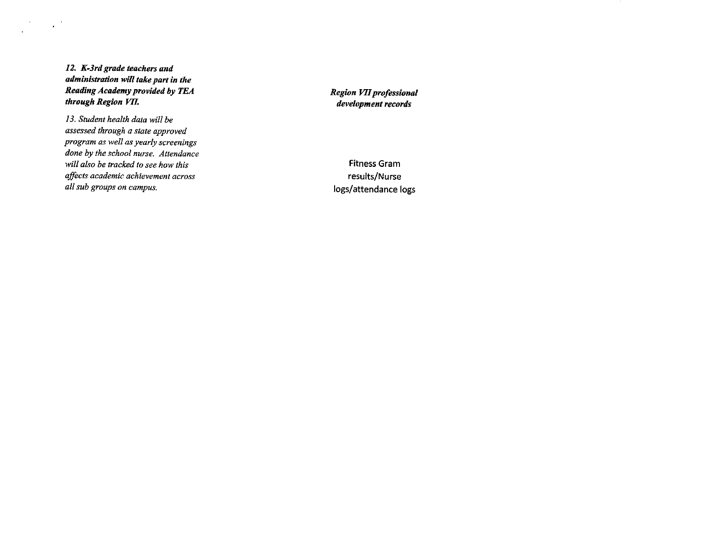12. K-3rd grade teachers and administration will take part in the Reading Academy provided by TEA through Region VII.

 $\mathcal{F}^{\text{max}}_{\text{max}}$ 

 $\overline{a}$ 

13. Student health data will be assessed through a state approved program as well as yearly screenings done by the school nurse. Attendance will also be tracked to see how this affects academic achievement across all sub groups on campus.

Region VII professional development records

**Fitness Gram** results/Nurse logs/attendance logs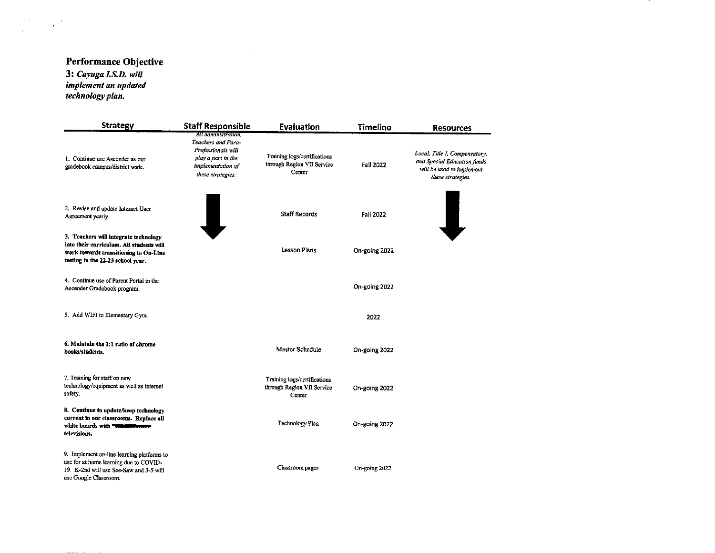# Performance Objective

3: Cayuga I.S.D. will implement an updated<br>technology plan.

 $\label{eq:2} \frac{1}{\sqrt{2}}\sum_{i=1}^n\frac{1}{\sqrt{2}}\left(\frac{1}{\sqrt{2}}\right)^2\left(\frac{1}{\sqrt{2}}\right)^2.$ 

| <b>Strategy</b>                                                                                                                                                 | <b>Staff Responsible</b>                                                                                                        | <b>Evaluation</b>                                                    | <b>Timeline</b>  | <b>Resources</b>                                                                                               |
|-----------------------------------------------------------------------------------------------------------------------------------------------------------------|---------------------------------------------------------------------------------------------------------------------------------|----------------------------------------------------------------------|------------------|----------------------------------------------------------------------------------------------------------------|
| 1. Continue use Ascender as our<br>gradebook campus/district wide.                                                                                              | All administration.<br>Teachers and Para-<br>Professionals will<br>play a part in the<br>implementation of<br>these strategies. | Training logs/certifications<br>through Region VII Service<br>Center | <b>Fall 2022</b> | Local, Title I, Compensatory,<br>and Special Education funds<br>will be used to implement<br>these strategies. |
| 2. Revise and update Internet User<br>Agreement yearly.                                                                                                         |                                                                                                                                 | <b>Staff Records</b>                                                 | <b>Fall 2022</b> | J                                                                                                              |
| 3. Teachers will integrate technology<br>into their curriculum. All students will<br>work towards transitioning to On-Line<br>testing in the 22-23 school year. |                                                                                                                                 | <b>Lesson Plans</b>                                                  | On-going 2022    |                                                                                                                |
| 4. Continue use of Parent Portal in the<br>Ascender Gradebook program.                                                                                          |                                                                                                                                 |                                                                      | On-going 2022    |                                                                                                                |
| 5. Add WIFI to Elementary Gym.                                                                                                                                  |                                                                                                                                 |                                                                      | 2022             |                                                                                                                |
| 6. Maintain the 1:1 ratio of chrome<br>books/students.                                                                                                          |                                                                                                                                 | Master Schedule                                                      | On-going 2022    |                                                                                                                |
| 7. Training for staff on new<br>technology/equipment as well as internet<br>safety.                                                                             |                                                                                                                                 | Training logs/certifications<br>through Region VII Service<br>Center | On-going 2022    |                                                                                                                |
| 8. Continue to update/keep technology<br>current in our classrooms. Replace all<br>white boards with "wantiff"<br>televisions.                                  |                                                                                                                                 | <b>Technology Plan</b>                                               | On-going 2022    |                                                                                                                |
| 9. Implement on-line learning platforms to<br>use for at home learning due to COVID-<br>19. K-2nd will use See-Saw and 3-5 will<br>use Google Classroom.        |                                                                                                                                 | Classroom pages                                                      | On-going 2022    |                                                                                                                |

 $\sim$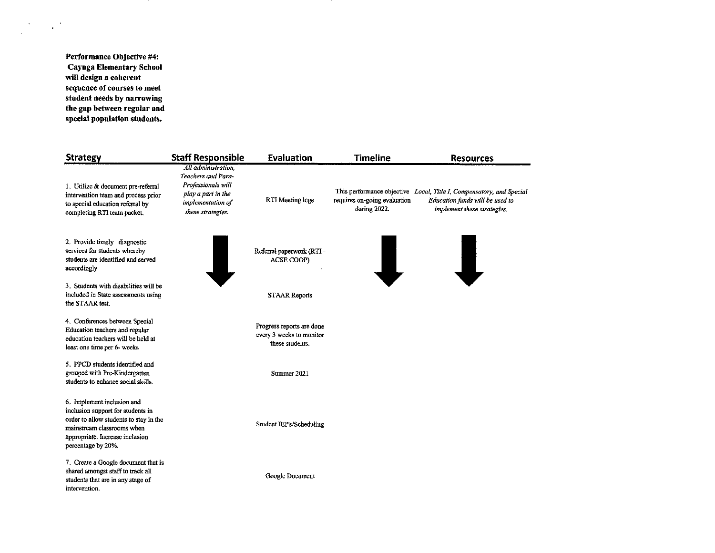Performance Objective #4: **Cayuga Elementary School** will design a coherent sequence of courses to meet student needs by narrowing the gap between regular and special population students.

 $\frac{1}{\sqrt{2}}\sum_{i=1}^{n} \frac{1}{\sqrt{2}} \left(\frac{1}{\sqrt{2}}\right)^2 \left(\frac{1}{\sqrt{2}}\right)^2$ 

| <b>Strategy</b>                                                                                                                                                                                  | <b>Staff Responsible</b>                                                                                                        | Evaluation                                                               | <b>Timeline</b>                              | <b>Resources</b>                                                                                                                       |
|--------------------------------------------------------------------------------------------------------------------------------------------------------------------------------------------------|---------------------------------------------------------------------------------------------------------------------------------|--------------------------------------------------------------------------|----------------------------------------------|----------------------------------------------------------------------------------------------------------------------------------------|
| 1. Utilize & document pre-referral<br>intervention team and process prior<br>to special education referral by<br>completing RTI team packet.                                                     | All administration.<br>Teachers and Para-<br>Professionals will<br>play a part in the<br>implementation of<br>these strategies. | RTI Meeting logs                                                         | requires on-going evaluation<br>during 2022. | This performance objective Local, Title I, Compensatory, and Special<br>Education funds will be used to<br>implement these strategies. |
| 2. Provide timely diagnostic<br>services for students whereby<br>students are identified and served<br>accordingly                                                                               |                                                                                                                                 | Referral paperwork (RTI-<br>ACSE COOP)                                   |                                              |                                                                                                                                        |
| 3. Students with disabilities will be<br>included in State assessments using<br>the STAAR test.                                                                                                  |                                                                                                                                 | <b>STAAR Reports</b>                                                     |                                              |                                                                                                                                        |
| 4. Conferences between Special<br>Education teachers and regular<br>education teachers will be held at<br>least one time per 6- weeks                                                            |                                                                                                                                 | Progress reports are done<br>every 3 weeks to monitor<br>these students. |                                              |                                                                                                                                        |
| 5. PPCD students identified and<br>grouped with Pre-Kindergarten<br>students to enhance social skills.                                                                                           |                                                                                                                                 | Summer 2021                                                              |                                              |                                                                                                                                        |
| 6. Implement inclusion and<br>inclusion support for students in<br>order to allow students to stay in the<br>mainstream classrooms when<br>appropriate. Increase inclusion<br>percentage by 20%. |                                                                                                                                 | Student IEP's/Scheduling                                                 |                                              |                                                                                                                                        |
| 7. Create a Google document that is<br>shared amongst staff to track all<br>students that are in any stage of<br>intervention.                                                                   |                                                                                                                                 | Google Document                                                          |                                              |                                                                                                                                        |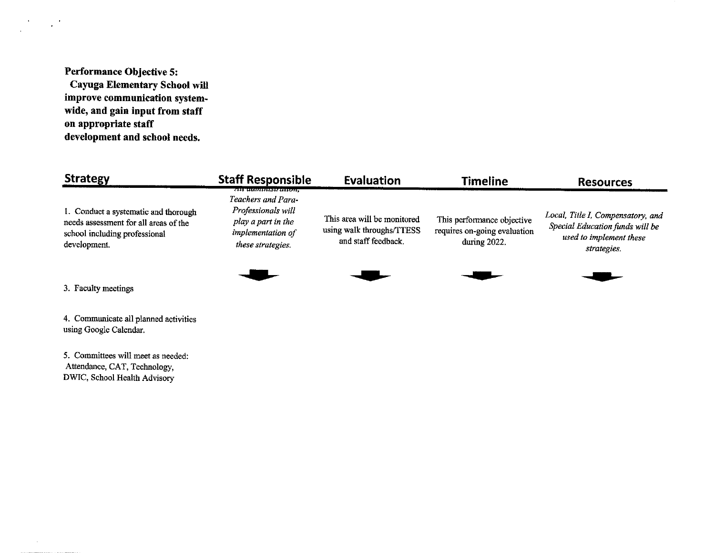Performance Objective 5:

 $\mathcal{L}^{(2)}$ 

 $\mathcal{A}$  $\mathcal{L}^{\mathcal{L}}$ 

 $\sim$ 

Cayuga Elementary School will improve communication systemwide, and gain input from staff on appropriate staff development and school needs.

| <b>Strategy</b>                                                                                                                | <b>Staff Responsible</b>                                                                                                   | Evaluation                                                                      | <b>Timeline</b>                                                            | <b>Resources</b>                                                                                               |
|--------------------------------------------------------------------------------------------------------------------------------|----------------------------------------------------------------------------------------------------------------------------|---------------------------------------------------------------------------------|----------------------------------------------------------------------------|----------------------------------------------------------------------------------------------------------------|
| 1. Conduct a systematic and thorough<br>needs assessment for all areas of the<br>school including professional<br>development. | ти ампинаният,<br>Teachers and Para-<br>Professionals will<br>play a part in the<br>implementation of<br>these strategies. | This area will be monitored<br>using walk throughs/TTESS<br>and staff feedback. | This performance objective<br>requires on-going evaluation<br>during 2022. | Local, Title I, Compensatory, and<br>Special Education funds will be<br>used to implement these<br>strategies. |
| 3. Faculty meetings                                                                                                            |                                                                                                                            |                                                                                 |                                                                            |                                                                                                                |

4. Communicate all planned activities using Google Calendar.

5. Committees will meet as needed: Attendance, CAT, Technology, DWIC, School Health Advisory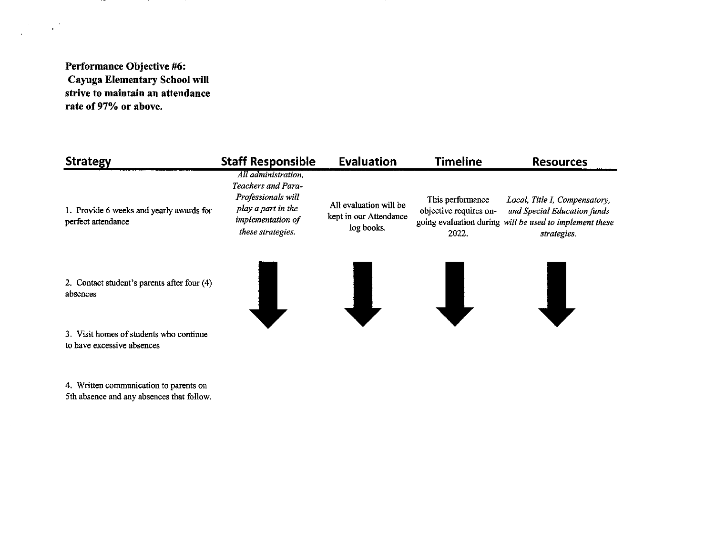Performance Objective #6: Cayuga Elementary School will strive to maintain an attendance rate of 97% or above.

 $\sim$   $-$ 

 $\mathcal{F}^{\text{max}}_{\text{max}}$ 

| <b>Strategy</b>                                                | <b>Staff Responsible</b>                                                                                                        | <b>Evaluation</b>                                              | <b>Timeline</b>                                     | <b>Resources</b>                                                                                                                       |
|----------------------------------------------------------------|---------------------------------------------------------------------------------------------------------------------------------|----------------------------------------------------------------|-----------------------------------------------------|----------------------------------------------------------------------------------------------------------------------------------------|
| 1. Provide 6 weeks and yearly awards for<br>perfect attendance | All administration.<br>Teachers and Para-<br>Professionals will<br>play a part in the<br>implementation of<br>these strategies. | All evaluation will be<br>kept in our Attendance<br>log books. | This performance<br>objective requires on-<br>2022. | Local, Title I, Compensatory,<br>and Special Education funds<br>going evaluation during will be used to implement these<br>strategies. |
| 2. Contact student's parents after four (4)<br>absences        |                                                                                                                                 |                                                                |                                                     |                                                                                                                                        |
| 3. Visit homes of students who continue                        |                                                                                                                                 |                                                                |                                                     |                                                                                                                                        |

3. Visit homes of students who continue to have excessive absences

4. Written communication to parents on<br>5th absence and any absences that follow.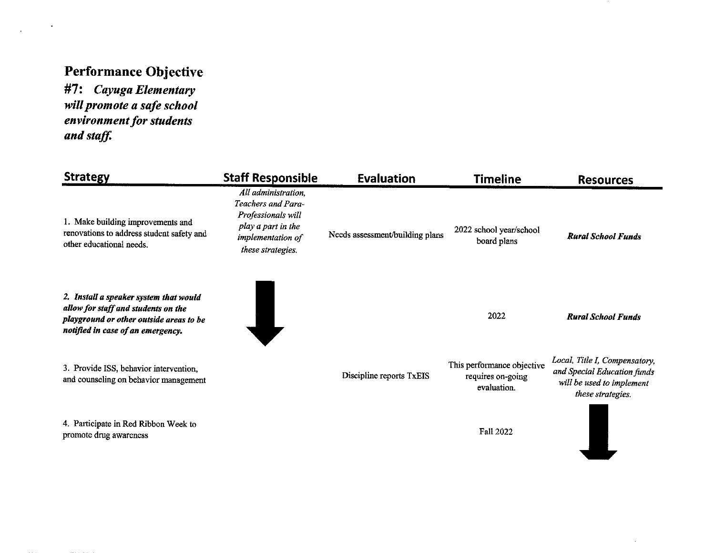# **Performance Objective**

 $\bullet$ 

 $\mathbf{r}$ 

#7: Cayuga Elementary will promote a safe school environment for students and staff.

| <b>Strategy</b>                                                                                                                                               | <b>Staff Responsible</b>                                                                                                        | <b>Evaluation</b>               | <b>Timeline</b>                                                | <b>Resources</b>                                                                                               |
|---------------------------------------------------------------------------------------------------------------------------------------------------------------|---------------------------------------------------------------------------------------------------------------------------------|---------------------------------|----------------------------------------------------------------|----------------------------------------------------------------------------------------------------------------|
| 1. Make building improvements and<br>renovations to address student safety and<br>other educational needs.                                                    | All administration,<br>Teachers and Para-<br>Professionals will<br>play a part in the<br>implementation of<br>these strategies. | Needs assessment/building plans | 2022 school year/school<br>board plans                         | <b>Rural School Funds</b>                                                                                      |
| 2. Install a speaker system that would<br>allow for staff and students on the<br>playground or other outside areas to be<br>notified in case of an emergency. |                                                                                                                                 |                                 | 2022                                                           | <b>Rural School Funds</b>                                                                                      |
| 3. Provide ISS, behavior intervention,<br>and counseling on behavior management                                                                               |                                                                                                                                 | Discipline reports TxEIS        | This performance objective<br>requires on-going<br>evaluation. | Local, Title I, Compensatory,<br>and Special Education funds<br>will be used to implement<br>these strategies. |
| 4. Participate in Red Ribbon Week to<br>promote drug awareness                                                                                                |                                                                                                                                 |                                 | Fall 2022                                                      |                                                                                                                |

 $\sim$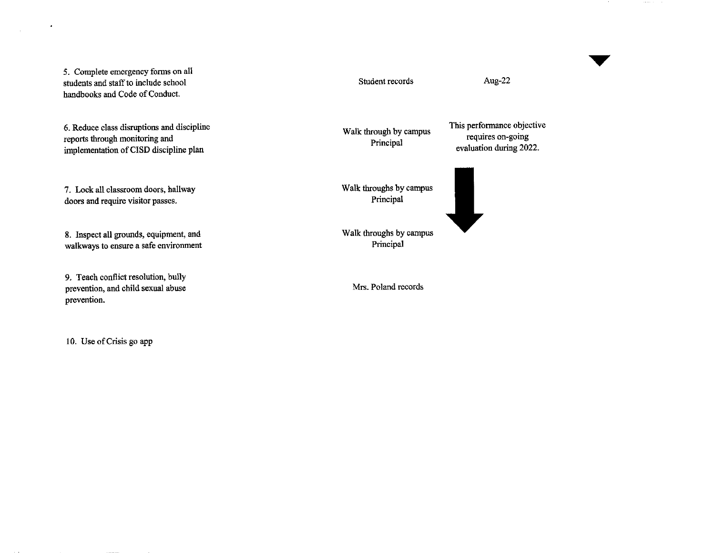5. Complete emergency forms on all students and staff to include school handbooks and Code of Conduct.

 $\bullet$ 

 $\bar{z}$ 

6. Reduce class disruptions and discipline reports through monitoring and implementation of CISD discipline plan

7. Lock all classroom doors, hallway doors and require visitor passes.

8. Inspect all grounds, equipment, and walkways to ensure a safe environment

9. Teach conflict resolution, bully prevention, and child sexual abuse prevention.

10. Use of Crisis go app

Student records

Walk through by campus Principal

This performance objective requires on-going evaluation during 2022.

Walk throughs by campus Principal

Walk throughs by campus Principal

Mrs. Poland records

Aug-22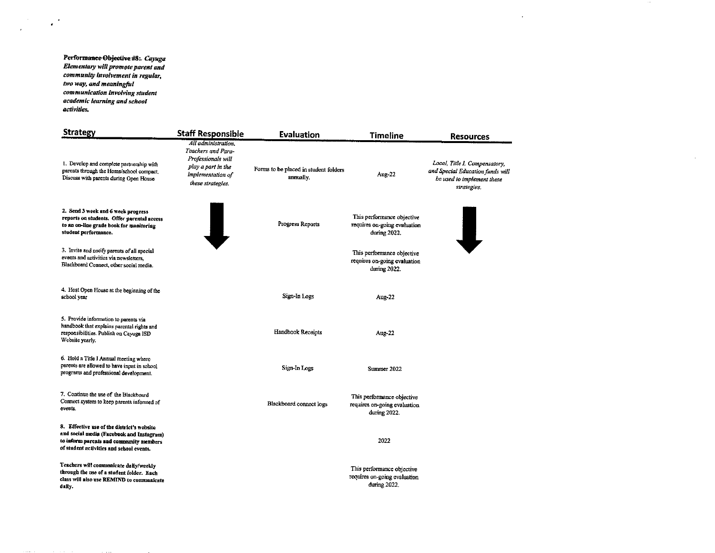Perform<del>ance Objective #8</del>: *Cayuga*<br>Elementary will promote parent and community involvement in regular, two way, and meaningful communication involving student academic learning and school activities.

 $\sim$   $^{\circ}$ 

 $\mathcal{L}_{\rm eff}$ 

 $\alpha$  and  $\alpha$  .

| <b>Strategy</b>                                                                                                                                                                | <b>Staff Responsible</b>                                                                                                        | <b>Evaluation</b>                                 | <b>Timeline</b>                                                            | <b>Resources</b>                                                                                               |
|--------------------------------------------------------------------------------------------------------------------------------------------------------------------------------|---------------------------------------------------------------------------------------------------------------------------------|---------------------------------------------------|----------------------------------------------------------------------------|----------------------------------------------------------------------------------------------------------------|
| 1. Develop and complete partnership with<br>parents through the Home/school compact.<br>Discuss with parents during Open House                                                 | All administration.<br>Teachers and Para-<br>Professionals will<br>play a part in the<br>implementation of<br>these strategies. | Forms to be placed in student folders<br>anmally. | Aug-22                                                                     | Local, Title I, Compensatory,<br>and Special Education funds will<br>be used to implement these<br>strategies. |
| 2. Send 3 week and 6 week progress<br>reports on students. Offer parental access<br>to an on-line grade book for monitoring<br>student performance.                            |                                                                                                                                 | Progress Reports                                  | This performance objective<br>requires on-going evaluation<br>during 2022. |                                                                                                                |
| 3. Invite and notify parents of all special<br>events and activities via newsletters.<br>Blackboard Connect, other social media.                                               |                                                                                                                                 |                                                   | This performance objective<br>requires on-going evaluation<br>during 2022. |                                                                                                                |
| 4. Host Open House at the beginning of the<br>school year                                                                                                                      |                                                                                                                                 | Sign-In Logs                                      | Aug-22                                                                     |                                                                                                                |
| 5. Provide information to parents via<br>handbook that explains parental rights and<br>responsibilities. Publish on Cayuga ISD<br>Website yearly.                              |                                                                                                                                 | Handbook Receipts                                 | Aug-22                                                                     |                                                                                                                |
| 6. Hold a Title I Annual meeting where<br>parents are allowed to have input in school<br>programs and professional development.                                                |                                                                                                                                 | Sign-In Logs                                      | Summer 2022                                                                |                                                                                                                |
| 7. Continue the use of the Blackboard<br>Connect system to keep parents informed of<br>events.                                                                                 |                                                                                                                                 | Blackboard connect logs                           | This performance objective<br>requires on-going evaluation<br>during 2022. |                                                                                                                |
| 8. Effective use of the district's website<br>and social media (Facebook and Instagram)<br>to inform parents and community members<br>of student activities and school events. |                                                                                                                                 |                                                   | 2022                                                                       |                                                                                                                |
| Teachers will communicate daily/weekly<br>through the use of a student folder. Each<br>class will also use REMIND to communicate<br>daily.                                     |                                                                                                                                 |                                                   | This performance objective<br>requires on-going evaluation<br>during 2022. |                                                                                                                |

 $\sim$ 

 $\sim$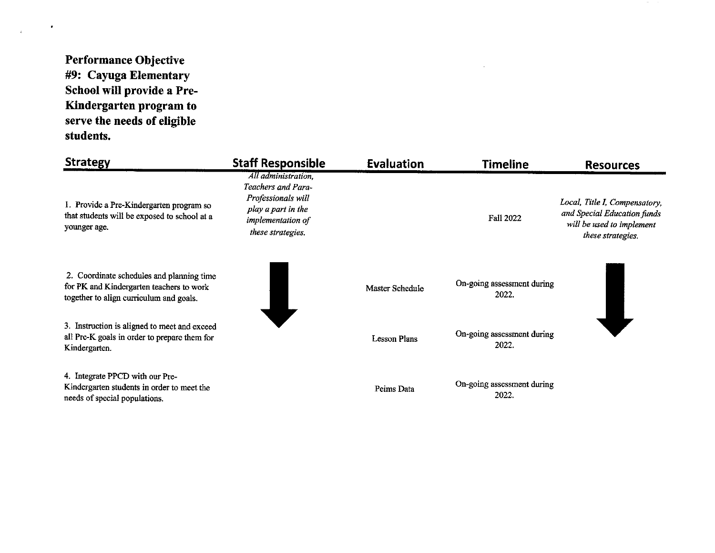# **Performance Objective** #9: Cayuga Elementary School will provide a Pre-Kindergarten program to serve the needs of eligible students.

 $\bullet$ 

 $\mathcal{L}^{\mathcal{L}}$ 

| <b>Strategy</b>                                                                                                                  | <b>Staff Responsible</b>                                                                                                        | <b>Evaluation</b>   | <b>Timeline</b>                     | <b>Resources</b>                                                                                               |
|----------------------------------------------------------------------------------------------------------------------------------|---------------------------------------------------------------------------------------------------------------------------------|---------------------|-------------------------------------|----------------------------------------------------------------------------------------------------------------|
| 1. Provide a Pre-Kindergarten program so<br>that students will be exposed to school at a<br>younger age.                         | All administration,<br>Teachers and Para-<br>Professionals will<br>play a part in the<br>implementation of<br>these strategies. |                     | <b>Fall 2022</b>                    | Local, Title I, Compensatory,<br>and Special Education funds<br>will be used to implement<br>these strategies. |
| 2. Coordinate schedules and planning time<br>for PK and Kindergarten teachers to work<br>together to align curriculum and goals. |                                                                                                                                 | Master Schedule     | On-going assessment during<br>2022. |                                                                                                                |
| 3. Instruction is aligned to meet and exceed<br>all Pre-K goals in order to prepare them for<br>Kindergarten.                    |                                                                                                                                 | <b>Lesson Plans</b> | On-going assessment during<br>2022. |                                                                                                                |
| 4. Integrate PPCD with our Pre-<br>Kindergarten students in order to meet the<br>needs of special populations.                   |                                                                                                                                 | Peims Data          | On-going assessment during<br>2022. |                                                                                                                |

**Contractor**